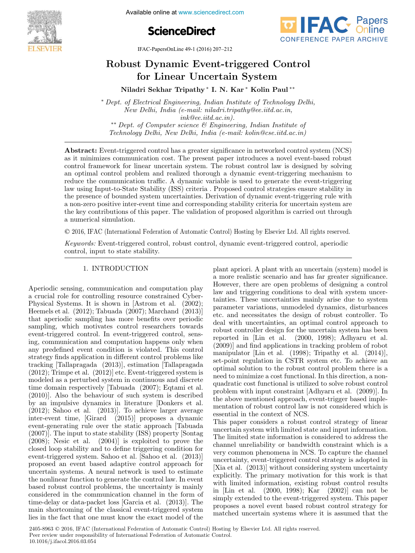





IFAC-PapersOnLine 49-1 (2016) 207–212

# Robust Dynamic Event-triggered Control for Linear Uncertain System

Niladri Sekhar Tripathy <sup>∗</sup> I. N. Kar <sup>∗</sup> Kolin Paul ∗∗

<sup>∗</sup> Dept. of Electrical Engineering, Indian Institute of Technology Delhi, New Delhi, India (e-mail: niladri.tripathy@ee.iitd.ac.in, ink@ee.iitd.ac.in). ∗∗ Dept. of Computer science & Engineering, Indian Institute of Technology Delhi, New Delhi, India (e-mail: kolin@cse.iitd.ac.in)

Abstract: Event-triggered control has a greater significance in networked control system (NCS) as it minimizes communication cost. The present paper introduces a novel event-based robust control framework for linear uncertain system. The robust control law is designed by solving an optimal control problem and realized thorough a dynamic event-triggering mechanism to reduce the communication traffic. A dynamic variable is used to generate the event-triggering law using Input-to-State Stability (ISS) criteria . Proposed control strategies ensure stability in the presence of bounded system uncertainties. Derivation of dynamic event-triggering rule with a non-zero positive inter-event time and corresponding stability criteria for uncertain system are the key contributions of this paper. The validation of proposed algorithm is carried out through a numerical simulation.

© 2016, IFAC (International Federation of Automatic Control) Hosting by Elsevier Ltd. All rights reserved.

Keywords: Event-triggered control, robust control, dynamic event-triggered control, aperiodic control, input to state stability.

# 1. INTRODUCTION

Aperiodic sensing, communication and computation play a crucial role for controlling resource constrained Cyber-Physical Systems. It is shown in [Astrom et al. (2002); Heemels et al. (2012); Tabuada (2007); Marchand (2013)] that aperiodic sampling has more benefits over periodic sampling, which motivates control researchers towards event-triggered control. In event-triggered control, sensing, communication and computation happens only when any predefined event condition is violated. This control strategy finds application in different control problems like tracking [Tallapragada (2013)], estimation [Tallapragada (2012); Trimpe et al. (2012)] etc. Event-triggered system is modeled as a perturbed system in continuous and discrete time domain respectively [Tabuada (2007); Eqtami et al. (2010)]. Also the behaviour of such system is described by an impulsive dynamics in literature [Donkers et al. (2012); Sahoo et al. (2013)]. To achieve larger average inter-event time, [Girard (2015)] proposes a dynamic event-generating rule over the static approach [Tabuada (2007)]. The input to state stability (ISS) property [Sontag (2008); Nesic et al. (2004)] is exploited to prove the closed loop stability and to define triggering condition for event-triggered system. Sahoo et al. [Sahoo et al. (2013)] proposed an event based adaptive control approach for uncertain systems. A neural network is used to estimate the nonlinear function to generate the control law. In event based robust control problems, the uncertainty is mainly considered in the communication channel in the form of time-delay or data-packet loss [Garcia et al. (2013)]. The main shortcoming of the classical event-triggered system lies in the fact that one must know the exact model of the plant apriori. A plant with an uncertain (system) model is a more realistic scenario and has far greater significance. However, there are open problems of designing a control law and triggering conditions to deal with system uncertainties. These uncertainties mainly arise due to system parameter variations, unmodeled dynamics, disturbances etc. and necessitates the design of robust controller. To deal with uncertainties, an optimal control approach to robust controller design for the uncertain system has been reported in [Lin et al. (2000, 1998); Adhyaru et al. (2009)] and find applications in tracking problem of robot manipulator [Lin et al. (1998); Tripathy et al. (2014)], set-point regulation in CSTR system etc. To achieve an optimal solution to the robust control problem there is a need to minimize a cost functional. In this direction, a nonquadratic cost functional is utilized to solve robust control problem with input constraint [Adhyaru et al. (2009)]. In the above mentioned approach, event-trigger based implementation of robust control law is not considered which is essential in the context of NCS.

This paper considers a robust control strategy of linear uncertain system with limited state and input information. The limited state information is considered to address the channel unreliability or bandwidth constraint which is a very common phenomena in NCS. To capture the channel uncertainty, event-triggered control strategy is adopted in [Xia et al. (2013)] without considering system uncertainty explicitly. The primary motivation for this work is that with limited information, existing robust control results in [Lin et al. (2000, 1998); Kar (2002)] can not be simply extended to the event-triggered system. This paper proposes a novel event based robust control strategy for matched uncertain systems where it is assumed that the

2405-8963 © 2016, IFAC (International Federation of Automatic Control) Hosting by Elsevier Ltd. All rights reserved. Peer review under responsibility of International Federation of Automatic Control. 10.1016/j.ifacol.2016.03.054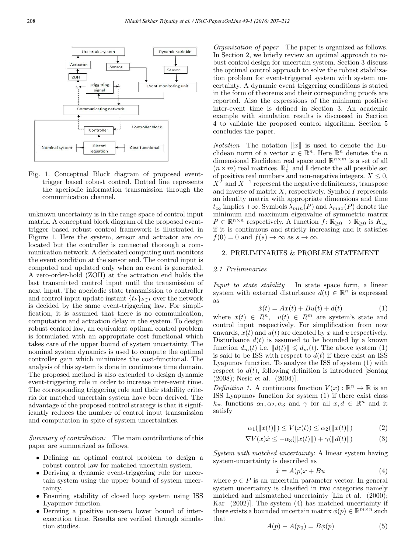

Fig. 1. Conceptual Block diagram of proposed eventtrigger based robust control. Dotted line represents the aperiodic information transmission through the communication channel.

unknown uncertainty is in the range space of control input matrix. A conceptual block diagram of the proposed eventtrigger based robust control framework is illustrated in Figure 1. Here the system, sensor and actuator are colocated but the controller is connected thorough a communication network. A dedicated computing unit monitors the event condition at the sensor end. The control input is computed and updated only when an event is generated. A zero-order-hold (ZOH) at the actuation end holds the last transmitted control input until the transmission of next input. The aperiodic state transmission to controller and control input update instant  $\{t_k\}_{k\in I}$  over the network is decided by the same event-triggering law. For simplification, it is assumed that there is no communication, computation and actuation delay in the system. To design robust control law, an equivalent optimal control problem is formulated with an appropriate cost functional which takes care of the upper bound of system uncertainty. The nominal system dynamics is used to compute the optimal controller gain which minimizes the cost-functional. The analysis of this system is done in continuous time domain. The proposed method is also extended to design dynamic event-triggering rule in order to increase inter-event time. The corresponding triggering rule and their stability criteria for matched uncertain system have been derived. The advantage of the proposed control strategy is that it significantly reduces the number of control input transmission and computation in spite of system uncertainties.

Summary of contribution: The main contributions of this paper are summarized as follows.

- Defining an optimal control problem to design a robust control law for matched uncertain system.
- Deriving a dynamic event-triggering rule for uncertain system using the upper bound of system uncertainty.
- Ensuring stability of closed loop system using ISS Lyapunov function.
- Deriving a positive non-zero lower bound of interexecution time. Results are verified through simulation studies.

Organization of paper The paper is organized as follows. In Section 2, we briefly review an optimal approach to robust control design for uncertain system. Section 3 discuss the optimal control approach to solve the robust stabilization problem for event-triggered system with system uncertainty. A dynamic event triggering conditions is stated in the form of theorems and their corresponding proofs are reported. Also the expressions of the minimum positive inter-event time is defined in Section 3. An academic example with simulation results is discussed in Section 4 to validate the proposed control algorithm. Section 5 concludes the paper.

*Notation* The notation  $||x||$  is used to denote the Euclidean norm of a vector  $x \in \mathbb{R}^n$ . Here  $\mathbb{R}^n$  denotes the n dimensional Euclidean real space and  $\mathbb{R}^{n\times m}$  is a set of all  $(n \times m)$  real matrices.  $\mathbb{R}^+_0$  and I denote the all possible set of positive real numbers and non-negative integers.  $X \leq 0$ ,  $X^{\hat{T}}$  and  $X^{-1}$  represent the negative definiteness, transpose and inverse of matrix  $X$ , respectively. Symbol  $I$  represents an identity matrix with appropriate dimensions and time  $t_{\infty}$  implies + $\infty$ . Symbols  $\lambda_{min}(P)$  and  $\lambda_{max}(P)$  denote the minimum and maximum eigenvalue of symmetric matrix  $P \in \mathbb{R}^{n \times n}$  respectively. A function  $f: \mathbb{R}_{\geq 0}^{\times} \to \mathbb{R}_{\geq 0}$  is  $K_{\infty}$ if it is continuous and strictly increasing and it satisfies  $f(0) = 0$  and  $f(s) \to \infty$  as  $s \to \infty$ .

## 2. PRELIMINARIES & PROBLEM STATEMENT

#### 2.1 Preliminaries

Input to state stability In state space form, a linear system with external disturbance  $d(t) \in \mathbb{R}^n$  is expressed as

$$
\dot{x}(t) = Ax(t) + Bu(t) + d(t)
$$
\n(1)

where  $x(t) \in R^n$ ,  $u(t) \in R^m$  are system's state and control input respectively. For simplification from now onwards,  $x(t)$  and  $u(t)$  are denoted by x and u respectively. Disturbance  $d(t)$  is assumed to be bounded by a known function  $d_m(t)$  i.e.  $||d(t)|| \leq d_m(t)$ . The above system (1) is said to be ISS with respect to  $d(t)$  if there exist an ISS Lyapunov function. To analyze the ISS of system (1) with respect to  $d(t)$ , following definition is introduced [Sontag] (2008); Nesic et al. (2004)].

Definition 1. A continuous function  $V(x): \mathbb{R}^n \to \mathbb{R}$  is an ISS Lyapunov function for system (1) if there exist class  $k_{\infty}$  functions  $\alpha_1, \alpha_2, \alpha_3$  and  $\gamma$  for all  $x, d \in \mathbb{R}^n$  and it satisfy

$$
\alpha_1(\|x(t)\|) \le V(x(t)) \le \alpha_2(\|x(t)\|)
$$
 (2)

$$
\nabla V(x)\dot{x} \le -\alpha_3(\|x(t)\|) + \gamma(\|d(t)\|) \tag{3}
$$

System with matched uncertainty: A linear system having system-uncertainty is described as

$$
\dot{x} = A(p)x + Bu \tag{4}
$$

where  $p \in P$  is an uncertain parameter vector. In general system uncertainty is classified in two categories namely matched and mismatched uncertainty [Lin et al. (2000); Kar (2002)]. The system (4) has matched uncertainty if there exists a bounded uncertain matrix  $\phi(p) \in \mathbb{R}^{m \times n}$  such that

$$
A(p) - A(p_0) = B\phi(p) \tag{5}
$$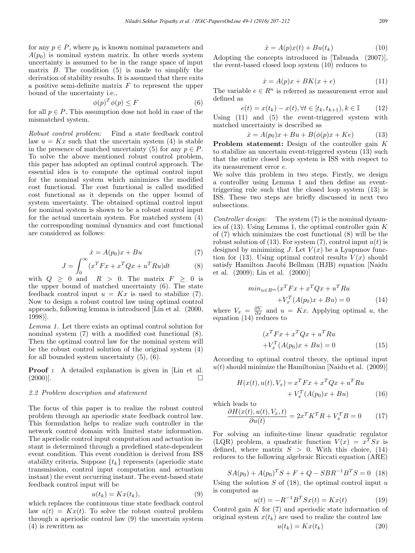for any  $p \in P$ , where  $p_0$  is known nominal parameters and  $A(p_0)$  is nominal system matrix. In other words system uncertainty is assumed to be in the range space of input matrix  $B$ . The condition  $(5)$  is made to simplify the derivation of stability results. It is assumed that there exits a positive semi-definite matrix  $F$  to represent the upper bound of the uncertainty i.e.,

$$
\phi(p)^T \phi(p) \le F \tag{6}
$$

for all  $p \in P$ . This assumption dose not hold in case of the mismatched system.

Robust control problem: Find a state feedback control law  $u = Kx$  such that the uncertain system (4) is stable in the presence of matched uncertainty (5) for any  $p \in P$ . To solve the above mentioned robust control problem, this paper has adopted an optimal control approach. The essential idea is to compute the optimal control input for the nominal system which minimizes the modified cost functional. The cost functional is called modified cost functional as it depends on the upper bound of system uncertainty. The obtained optimal control input for nominal system is shown to be a robust control input for the actual uncertain system. For matched system (4) the corresponding nominal dynamics and cost functional are considered as follows:

$$
\dot{x} = A(p_0)x + Bu \tag{7}
$$

$$
J = \int_0^\infty (x^T F x + x^T Q x + u^T R u) dt
$$
 (8)

with  $Q \geq 0$  and  $R > 0$ . The matrix  $F \geq 0$  is the upper bound of matched uncertainty (6). The state feedback control input  $u = Kx$  is used to stabilize (7). Now to design a robust control law using optimal control approach, following lemma is introduced [Lin et al. (2000, 1998)].

Lemma 1. Let there exists an optimal control solution for nominal system (7) with a modified cost functional (8). Then the optimal control law for the nominal system will be the robust control solution of the original system (4) for all bounded system uncertainty (5), (6).

**Proof** : A detailed explanation is given in [Lin et al.  $(2000)$ ].

#### 2.2 Problem description and statement

The focus of this paper is to realize the robust control problem through an aperiodic state feedback control law. This formulation helps to realize such controller in the network control domain with limited state information. The aperiodic control input computation and actuation instant is determined through a predefined state-dependent event condition. This event condition is derived from ISS stability criteria. Suppose  $\{t_k\}$  represents (aperiodic state transmission, control input computation and actuation instant) the event occurring instant. The event-based state feedback control input will be

$$
u(t_k) = Kx(t_k),\tag{9}
$$

which replaces the continuous time state feedback control law  $u(t) = Kx(t)$ . To solve the robust control problem through a aperiodic control law (9) the uncertain system (4) is rewritten as

$$
\dot{x} = A(p)x(t) + Bu(t_k) \tag{10}
$$

Adopting the concepts introduced in [Tabuada (2007)], the event-based closed loop system (10) reduces to

$$
\dot{x} = A(p)x + BK(x + e) \tag{11}
$$

The variable  $e \in \mathbb{R}^n$  is referred as measurement error and defined as

$$
e(t) = x(t_k) - x(t), \forall t \in [t_k, t_{k+1}), k \in \mathbb{I}
$$
 (12)

Using (11) and (5) the event-triggered system with matched uncertainty is described as

$$
\dot{x} = A(p_0)x + Bu + B(\phi(p)x + Ke) \tag{13}
$$

Problem statement: Design of the controller gain K to stabilize an uncertain event-triggered system (13) such that the entire closed loop system is ISS with respect to its measurement error e.

We solve this problem in two steps. Firstly, we design a controller using Lemma 1 and then define an eventtriggering rule such that the closed loop system (13) is ISS. These two steps are briefly discussed in next two subsections.

Controller design: The system (7) is the nominal dynamics of  $(13)$ . Using Lemma 1, the optimal controller gain K of (7) which minimizes the cost functional (8) will be the robust solution of (13). For system (7), control input  $u(t)$  is designed by minimizing J. Let  $V(x)$  be a Lyapunov function for (13). Using optimal control results  $V(x)$  should satisfy Hamilton Jacobi Bellman (HJB) equation [Naidu et al. (2009); Lin et al. (2000)]

$$
min_{u \in R^m} (x^T F x + x^T Q x + u^T R u
$$

$$
+ V_x^T (A(p_0) x + Bu) = 0
$$
(14)

where  $V_x = \frac{\partial V}{\partial x}$  and  $u = Kx$ . Applying optimal u, the equation  $(14)$  reduces to

$$
(xT F x + xT Q x + uT R u
$$
  
+
$$
V_xT (A(p0) x + Bu) = 0
$$
 (15)

According to optimal control theory, the optimal input  $u(t)$  should minimize the Hamiltonian [Naidu et al. (2009)]

$$
H(x(t), u(t), V_x) = xT F x + xT Q x + uT R u
$$
  
+ 
$$
V_xT (A(p0) x + Bu)
$$
 (16)

which leads to

$$
\frac{\partial H(x(t), u(t), V_x, t)}{\partial u(t)} = 2x^T K^T R + V_x^T B = 0 \qquad (17)
$$

For solving an infinite-time linear quadratic regulator (LQR) problem, a quadratic function  $V(x) = x^T S x$  is defined, where matrix  $S > 0$ . With this choice, (14) reduces to the following algebraic Riccati equation (ARE)

$$
SA(p_0) + A(p_0)^T S + F + Q - SBR^{-1}B^T S = 0
$$
 (18)

Using the solution  $S$  of (18), the optimal control input  $u$ is computed as

$$
u(t) = -R^{-1}B^{T}Sx(t) = Kx(t)
$$
 (19)

Control gain  $K$  for  $(7)$  and aperiodic state information of original system  $x(t_k)$  are used to realize the control law

$$
u(t_k) = Kx(t_k) \tag{20}
$$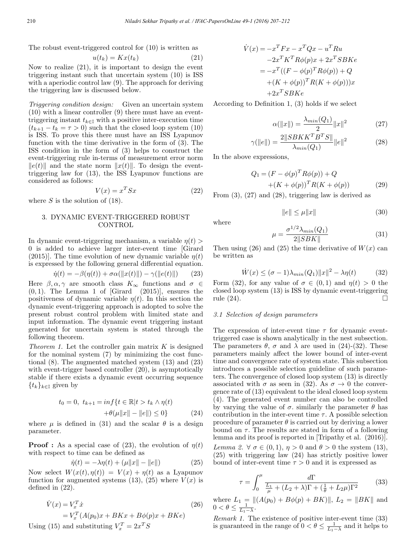The robust event-triggered control for (10) is written as

$$
u(t_k) = Kx(t_k) \tag{21}
$$

Now to realize (21), it is important to design the event triggering instant such that uncertain system (10) is ISS with a aperiodic control law (9). The approach for deriving the triggering law is discussed below.

Triggering condition design: Given an uncertain system (10) with a linear controller (9) there must have an eventtriggering instant  $t_{k\in\mathbb{I}}$  with a positive inter-execution time  $(t_{k+1} - t_k = \tau > 0)$  such that the closed loop system (10) is ISS. To prove this there must have an ISS Lyapunov function with the time derivative in the form of (3). The ISS condition in the form of (3) helps to construct the event-triggering rule in-terms of measurement error norm  $||e(t)||$  and the state norm  $||x(t)||$ . To design the eventtriggering law for (13), the ISS Lyapunov functions are considered as follows:

$$
V(x) = x^T S x \tag{22}
$$

where  $S$  is the solution of (18).

## 3. DYNAMIC EVENT-TRIGGERED ROBUST CONTROL

In dynamic event-triggering mechanism, a variable  $\eta(t)$ 0 is added to achieve larger inter-event time [Girard (2015)]. The time evolution of new dynamic variable  $\eta(t)$ is expressed by the following general differential equation.

$$
\dot{\eta}(t) = -\beta(\eta(t)) + \sigma \alpha(||x(t)||) - \gamma(||e(t)||)
$$
 (23)

Here  $\beta, \alpha, \gamma$  are smooth class  $K_{\infty}$  functions and  $\sigma \in$  $(0, 1)$ . The Lemma 1 of [Girard  $(2015)$ ], ensures the positiveness of dynamic variable  $\eta(t)$ . In this section the dynamic event-triggering approach is adopted to solve the present robust control problem with limited state and input information. The dynamic event triggering instant generated for uncertain system is stated through the following theorem.

*Theorem 1.* Let the controller gain matrix  $K$  is designed for the nominal system (7) by minimizing the cost functional (8). The augmented matched system (13) and (23) with event-trigger based controller  $(20)$ , is asymptotically stable if there exists a dynamic event occurring sequence  ${t_k}_{k\in\mathbb{I}}$  given by

$$
t_0 = 0, \ t_{k+1} = \inf\{t \in \mathbb{R} | t > t_k \wedge \eta(t) + \theta(\mu ||x|| - ||e||) \le 0\}
$$
 (24)

where  $\mu$  is defined in (31) and the scalar  $\theta$  is a design parameter.

**Proof :** As a special case of (23), the evolution of  $\eta(t)$ with respect to time can be defined as

$$
\dot{\eta}(t) = -\lambda \eta(t) + (\mu \|x\| - \|e\|)
$$
 (25)

Now select  $W(x(t), \eta(t)) = V(x) + \eta(t)$  as a Lyapunov function for augmented systems  $(13)$ ,  $(25)$  where  $V(x)$  is defined in (22).

$$
\dot{V}(x) = V_x^T \dot{x}
$$
\n
$$
= V_x^T (A(p_0)x + BKx + B\phi(p)x + BKe)
$$
\n(26)

Using (15) and substituting  $V_x^T = 2x^T S$ 

$$
\dot{V}(x) = -x^T F x - x^T Q x - u^T R u
$$
  
\n
$$
-2x^T K^T R \phi(p) x + 2x^T S B K e
$$
  
\n
$$
= -x^T ((F - \phi(p)^T R \phi(p)) + Q
$$
  
\n
$$
+ (K + \phi(p))^T R (K + \phi(p))) x
$$
  
\n
$$
+2x^T S B K e
$$

According to Definition 1, (3) holds if we select

$$
\alpha(\|x\|) = \frac{\lambda_{min}(Q_1)}{2} \|x\|^2 \tag{27}
$$

$$
\gamma(\|e\|) = \frac{2\|SBKK^T B^T S\|}{\lambda_{min}(Q_1)} \|e\|^2 \tag{28}
$$

In the above expressions,

$$
Q_1 = (F - \phi(p)^T R \phi(p)) + Q + (K + \phi(p))^T R (K + \phi(p))
$$
 (29)

From (3), (27) and (28), triggering law is derived as

$$
\|e\| \le \mu \|x\| \tag{30}
$$

$$
f_{\rm{max}}
$$

where

$$
\mu = \frac{\sigma^{1/2} \lambda_{min}(Q_1)}{2||SBK||} \tag{31}
$$

Then using (26) and (25) the time derivative of  $W(x)$  can be written as

$$
\dot{W}(x) \le (\sigma - 1)\lambda_{\min}(Q_1) \|x\|^2 - \lambda \eta(t) \tag{32}
$$

Form (32), for any value of  $\sigma \in (0,1)$  and  $\eta(t) > 0$  the closed loop system (13) is ISS by dynamic event-triggering rule  $(24)$ .

#### 3.1 Selection of design parameters

The expression of inter-event time  $\tau$  for dynamic eventtriggered case is shown analytically in the nest subsection. The parameters  $\theta$ ,  $\sigma$  and  $\lambda$  are used in (24)-(32). These parameters mainly affect the lower bound of inter-event time and convergence rate of system state. This subsection introduces a possible selection guideline of such parameters. The convergence of closed loop system (13) is directly associated with  $\sigma$  as seen in (32). As  $\sigma \to 0$  the convergence rate of (13) equivalent to the ideal closed loop system (4). The generated event number can also be controlled by varying the value of  $\sigma$ , similarly the parameter  $\theta$  has contribution in the inter-event time  $\tau$ . A possible selection procedure of parameter  $\theta$  is carried out by deriving a lower bound on  $\tau$ . The results are stated in form of a following lemma and its proof is reported in [Tripathy et al. (2016)]. Lemma 2.  $\forall \sigma \in (0,1), \eta > 0$  and  $\theta > 0$  the system (13), (25) with triggering law (24) has strictly positive lower

$$
\tau = \int_0^\mu \frac{d\Gamma}{\frac{L_1}{\mu} + (L_2 + \lambda)\Gamma + (\frac{1}{\theta} + L_2\mu)\Gamma^2}
$$
(33)

where  $L_1 = ||(A(p_0) + B\phi(p) + BK)||, L_2 = ||BK||$  and  $0 < \theta \leq \frac{1}{L_1 - \lambda}$ .

bound of inter-event time  $\tau > 0$  and it is expressed as

Remark 1. The existence of positive inter-event time (33) is guaranteed in the range of  $0 < \theta \leq \frac{1}{L_1 - \lambda}$  and it helps to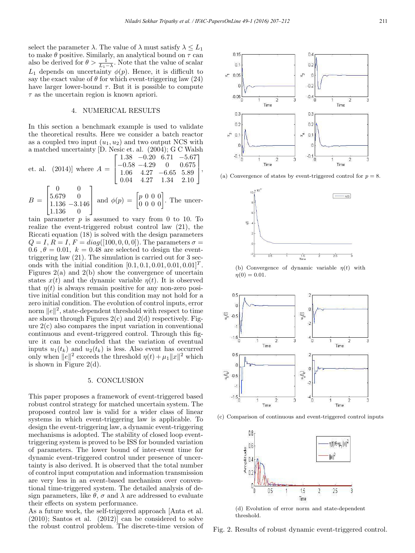select the parameter  $\lambda$ . The value of  $\lambda$  must satisfy  $\lambda \leq L_1$ to make  $\theta$  positive. Similarly, an analytical bound on  $\tau$  can also be derived for  $\theta > \frac{1}{L_1 - \lambda}$ . Note that the value of scalar  $L_1$  depends on uncertainty  $\phi(p)$ . Hence, it is difficult to say the exact value of  $\theta$  for which event-triggering law (24) have larger lower-bound  $\tau$ . But it is possible to compute  $\tau$  as the uncertain region is known apriori.

#### 4. NUMERICAL RESULTS

In this section a benchmark example is used to validate the theoretical results. Here we consider a batch reactor as a coupled two input  $(u_1, u_2)$  and two output NCS with a matched uncertainty [D. Nesic et. al. (2004); G C Walsh  $F = 1.90$  $0.90 \div 71$ 

et. al. (2014)] where 
$$
A = \begin{bmatrix} 1.38 & -0.20 & 6.71 & -5.67 \\ -0.58 & -4.29 & 0 & 0.675 \\ 1.06 & 4.27 & -6.65 & 5.89 \\ 0.04 & 4.27 & 1.34 & 2.10 \end{bmatrix}
$$
,

$$
B = \begin{bmatrix} 5.679 & 0 \\ 1.136 & -3.146 \\ 1.136 & 0 \end{bmatrix}
$$
 and  $\phi(p) = \begin{bmatrix} p & 0 & 0 & 0 \\ 0 & 0 & 0 & 0 \end{bmatrix}$ . The uncer-

tain parameter  $p$  is assumed to vary from 0 to 10. To realize the event-triggered robust control law (21), the Riccati equation (18) is solved with the design parameters  $Q = I, R = I, F = diag([100, 0, 0, 0])$ . The parameters  $\sigma =$ 0.6,  $\theta = 0.01$ ,  $k = 0.48$  are selected to design the eventtriggering law (21). The simulation is carried out for 3 seconds with the initial condition  $[0.1, 0.1, 0.01, 0.01, 0.01]^T$ . Figures  $2(a)$  and  $2(b)$  show the convergence of uncertain states  $x(t)$  and the dynamic variable  $\eta(t)$ . It is observed that  $\eta(t)$  is always remain positive for any non-zero positive initial condition but this condition may not hold for a zero initial condition. The evolution of control inputs, error norm  $||e||^2$ , state-dependent threshold with respect to time are shown through Figures  $2(c)$  and  $2(d)$  respectively. Figure 2(c) also compares the input variation in conventional continuous and event-triggered control. Through this figure it can be concluded that the variation of eventual inputs  $u_1(t_k)$  and  $u_2(t_k)$  is less. Also event has occurred only when  $||e||^2$  exceeds the threshold  $\eta(t) + \mu_1 ||x||^2$  which is shown in Figure  $2(d)$ .

# 5. CONCLUSION

This paper proposes a framework of event-triggered based robust control strategy for matched uncertain system. The proposed control law is valid for a wider class of linear systems in which event-triggering law is applicable. To design the event-triggering law, a dynamic event-triggering mechanisms is adopted. The stability of closed loop eventtriggering system is proved to be ISS for bounded variation of parameters. The lower bound of inter-event time for dynamic event-triggered control under presence of uncertainty is also derived. It is observed that the total number of control input computation and information transmission are very less in an event-based mechanism over conventional time-triggered system. The detailed analysis of design parameters, like  $\theta$ ,  $\sigma$  and  $\lambda$  are addressed to evaluate their effects on system performance.

As a future work, the self-triggered approach [Anta et al. (2010); Santos et al. (2012)] can be considered to solve the robust control problem. The discrete-time version of



(a) Convergence of states by event-triggered control for  $p = 8$ .



(b) Convergence of dynamic variable  $\eta(t)$  with  $\eta(0) = 0.01$ .



(c) Comparison of continuous and event-triggered control inputs



(d) Evolution of error norm and state-dependent threshold.